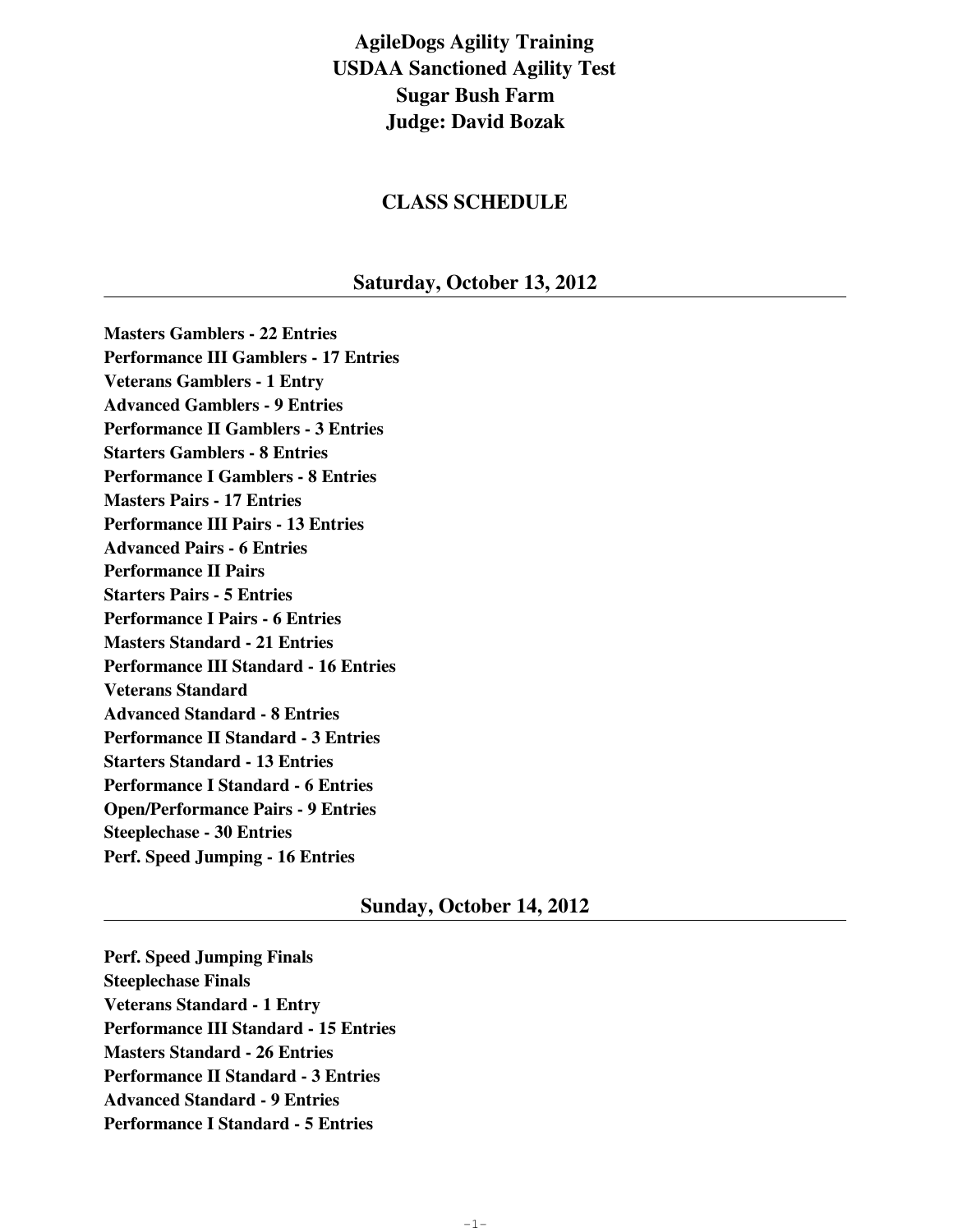# **AgileDogs Agility Training USDAA Sanctioned Agility Test Sugar Bush Farm Judge: David Bozak**

# **CLASS SCHEDULE**

# **Saturday, October 13, 2012**

**Masters Gamblers - 22 Entries Performance III Gamblers - 17 Entries Veterans Gamblers - 1 Entry Advanced Gamblers - 9 Entries Performance II Gamblers - 3 Entries Starters Gamblers - 8 Entries Performance I Gamblers - 8 Entries Masters Pairs - 17 Entries Performance III Pairs - 13 Entries Advanced Pairs - 6 Entries Performance II Pairs Starters Pairs - 5 Entries Performance I Pairs - 6 Entries Masters Standard - 21 Entries Performance III Standard - 16 Entries Veterans Standard Advanced Standard - 8 Entries Performance II Standard - 3 Entries Starters Standard - 13 Entries Performance I Standard - 6 Entries Open/Performance Pairs - 9 Entries Steeplechase - 30 Entries Perf. Speed Jumping - 16 Entries**

## **Sunday, October 14, 2012**

**Perf. Speed Jumping Finals Steeplechase Finals Veterans Standard - 1 Entry Performance III Standard - 15 Entries Masters Standard - 26 Entries Performance II Standard - 3 Entries Advanced Standard - 9 Entries Performance I Standard - 5 Entries**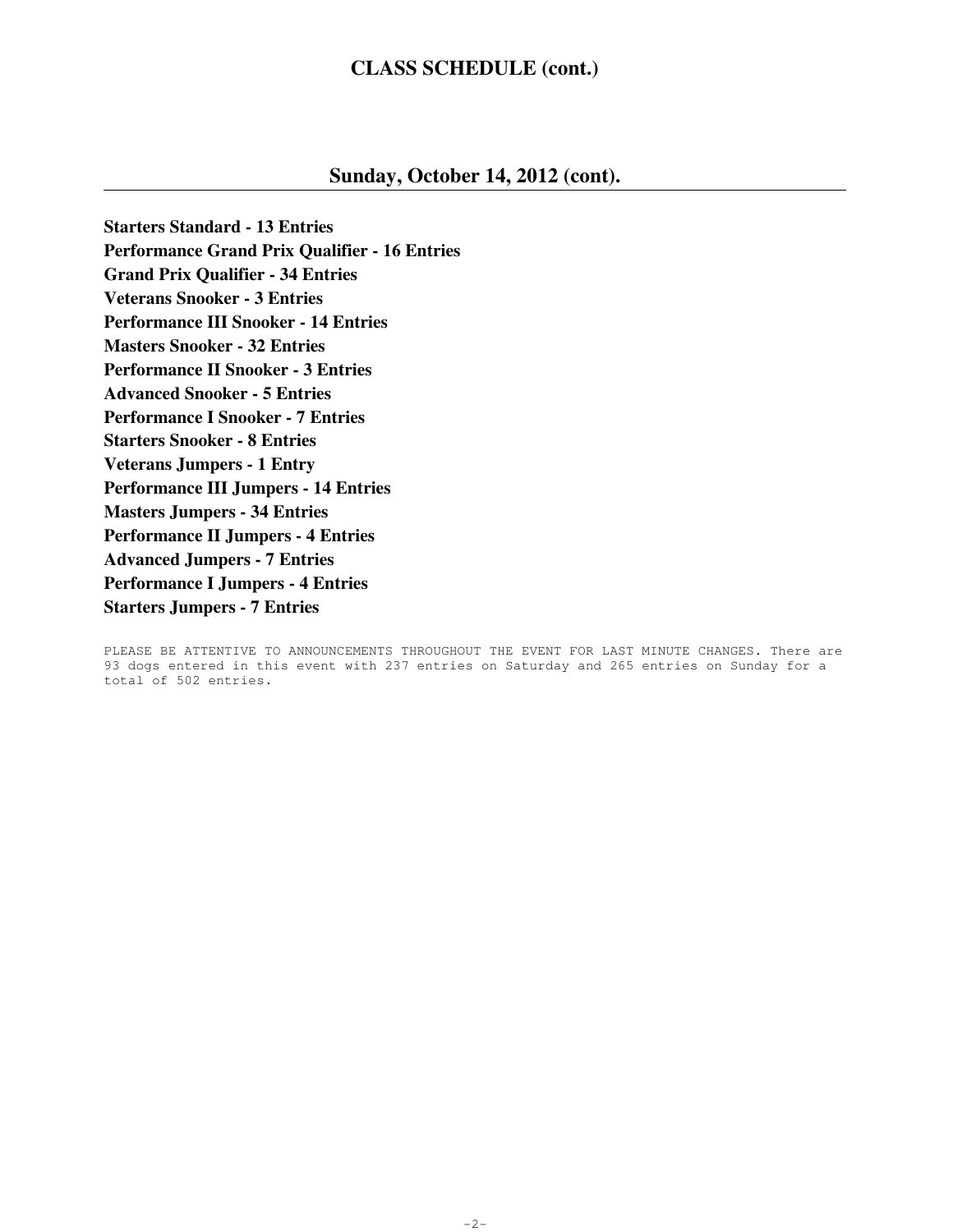# **CLASS SCHEDULE (cont.)**

# **Sunday, October 14, 2012 (cont).**

**Starters Standard - 13 Entries Performance Grand Prix Qualifier - 16 Entries Grand Prix Qualifier - 34 Entries Veterans Snooker - 3 Entries Performance III Snooker - 14 Entries Masters Snooker - 32 Entries Performance II Snooker - 3 Entries Advanced Snooker - 5 Entries Performance I Snooker - 7 Entries Starters Snooker - 8 Entries Veterans Jumpers - 1 Entry Performance III Jumpers - 14 Entries Masters Jumpers - 34 Entries Performance II Jumpers - 4 Entries Advanced Jumpers - 7 Entries Performance I Jumpers - 4 Entries Starters Jumpers - 7 Entries**

PLEASE BE ATTENTIVE TO ANNOUNCEMENTS THROUGHOUT THE EVENT FOR LAST MINUTE CHANGES. There are 93 dogs entered in this event with 237 entries on Saturday and 265 entries on Sunday for a total of 502 entries.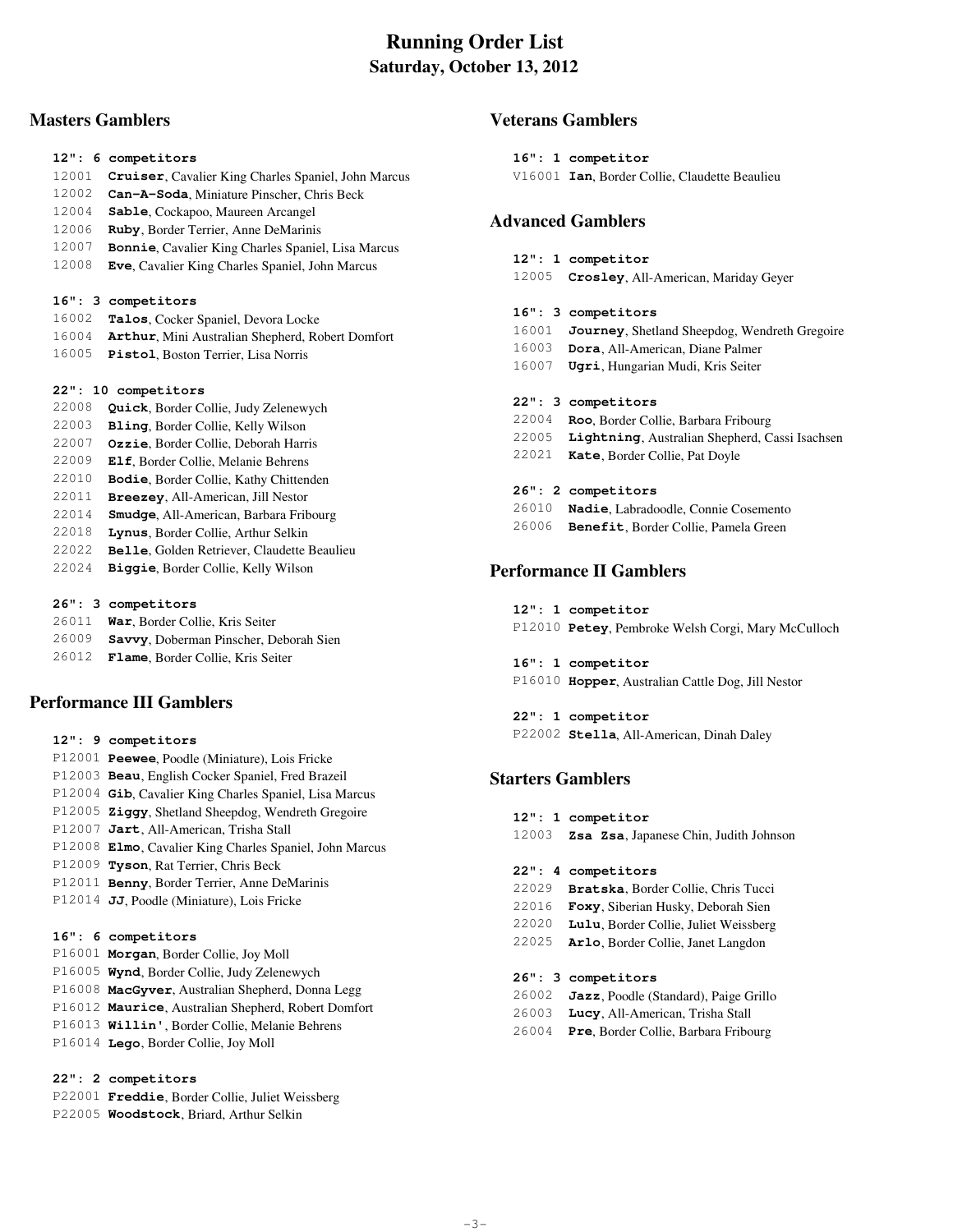# **Running Order List Saturday, October 13, 2012**

## **Masters Gamblers**

- 12001 **Cruiser**, Cavalier King Charles Spaniel, John Marcus
- 12002 **Can-A-Soda**, Miniature Pinscher, Chris Beck
- 12004 **Sable**, Cockapoo, Maureen Arcangel
- 12006 **Ruby**, Border Terrier, Anne DeMarinis
- 12007 **Bonnie**, Cavalier King Charles Spaniel, Lisa Marcus
- 12008 **Eve**, Cavalier King Charles Spaniel, John Marcus

### **16": 3 competitors**

- 16002 **Talos**, Cocker Spaniel, Devora Locke
- 16004 **Arthur**, Mini Australian Shepherd, Robert Domfort
- 16005 **Pistol**, Boston Terrier, Lisa Norris

### **22": 10 competitors**

- 22008 **Quick**, Border Collie, Judy Zelenewych
- 22003 **Bling**, Border Collie, Kelly Wilson
- 22007 **Ozzie**, Border Collie, Deborah Harris
- 22009 **Elf**, Border Collie, Melanie Behrens
- 22010 **Bodie**, Border Collie, Kathy Chittenden
- 22011 **Breezey**, All-American, Jill Nestor
- 22014 **Smudge**, All-American, Barbara Fribourg
- 22018 **Lynus**, Border Collie, Arthur Selkin
- 22022 **Belle**, Golden Retriever, Claudette Beaulieu
- 22024 **Biggie**, Border Collie, Kelly Wilson

### **26": 3 competitors**

- 26011 **War**, Border Collie, Kris Seiter
- 26009 **Savvy**, Doberman Pinscher, Deborah Sien
- 26012 **Flame**, Border Collie, Kris Seiter

## **Performance III Gamblers**

- **12": 9 competitors**
- P12001 **Peewee**, Poodle (Miniature), Lois Fricke P12003 **Beau**, English Cocker Spaniel, Fred Brazeil P12004 **Gib**, Cavalier King Charles Spaniel, Lisa Marcus P12005 **Ziggy**, Shetland Sheepdog, Wendreth Gregoire P12007 **Jart**, All-American, Trisha Stall P12008 **Elmo**, Cavalier King Charles Spaniel, John Marcus P12009 **Tyson**, Rat Terrier, Chris Beck P12011 **Benny**, Border Terrier, Anne DeMarinis P12014 **JJ**, Poodle (Miniature), Lois Fricke

## **16": 6 competitors**

 P16001 **Morgan**, Border Collie, Joy Moll P16005 **Wynd**, Border Collie, Judy Zelenewych P16008 **MacGyver**, Australian Shepherd, Donna Legg P16012 **Maurice**, Australian Shepherd, Robert Domfort P16013 **Willin'**, Border Collie, Melanie Behrens P16014 **Lego**, Border Collie, Joy Moll

## **22": 2 competitors**

- P22001 **Freddie**, Border Collie, Juliet Weissberg
- P22005 **Woodstock**, Briard, Arthur Selkin

## **Veterans Gamblers**

 **16": 1 competitor** V16001 **Ian**, Border Collie, Claudette Beaulieu

## **Advanced Gamblers**

- **12": 1 competitor**
- 12005 **Crosley**, All-American, Mariday Geyer

### **16": 3 competitors**

- 16001 **Journey**, Shetland Sheepdog, Wendreth Gregoire
- 16003 **Dora**, All-American, Diane Palmer
- 16007 **Ugri**, Hungarian Mudi, Kris Seiter

### **22": 3 competitors**

 22004 **Roo**, Border Collie, Barbara Fribourg 22005 **Lightning**, Australian Shepherd, Cassi Isachsen 22021 **Kate**, Border Collie, Pat Doyle

### **26": 2 competitors**

- 26010 **Nadie**, Labradoodle, Connie Cosemento
- 26006 **Benefit**, Border Collie, Pamela Green

## **Performance II Gamblers**

- **12": 1 competitor** P12010 **Petey**, Pembroke Welsh Corgi, Mary McCulloch
- **16": 1 competitor** P16010 **Hopper**, Australian Cattle Dog, Jill Nestor

 **22": 1 competitor** P22002 **Stella**, All-American, Dinah Daley

# **Starters Gamblers**

- **12": 1 competitor** 12003 **Zsa Zsa**, Japanese Chin, Judith Johnson  **22": 4 competitors** 22029 **Bratska**, Border Collie, Chris Tucci 22016 **Foxy**, Siberian Husky, Deborah Sien 22020 **Lulu**, Border Collie, Juliet Weissberg 22025 **Arlo**, Border Collie, Janet Langdon  **26": 3 competitors** 26002 **Jazz**, Poodle (Standard), Paige Grillo 26003 **Lucy**, All-American, Trisha Stall
- 26004 **Pre**, Border Collie, Barbara Fribourg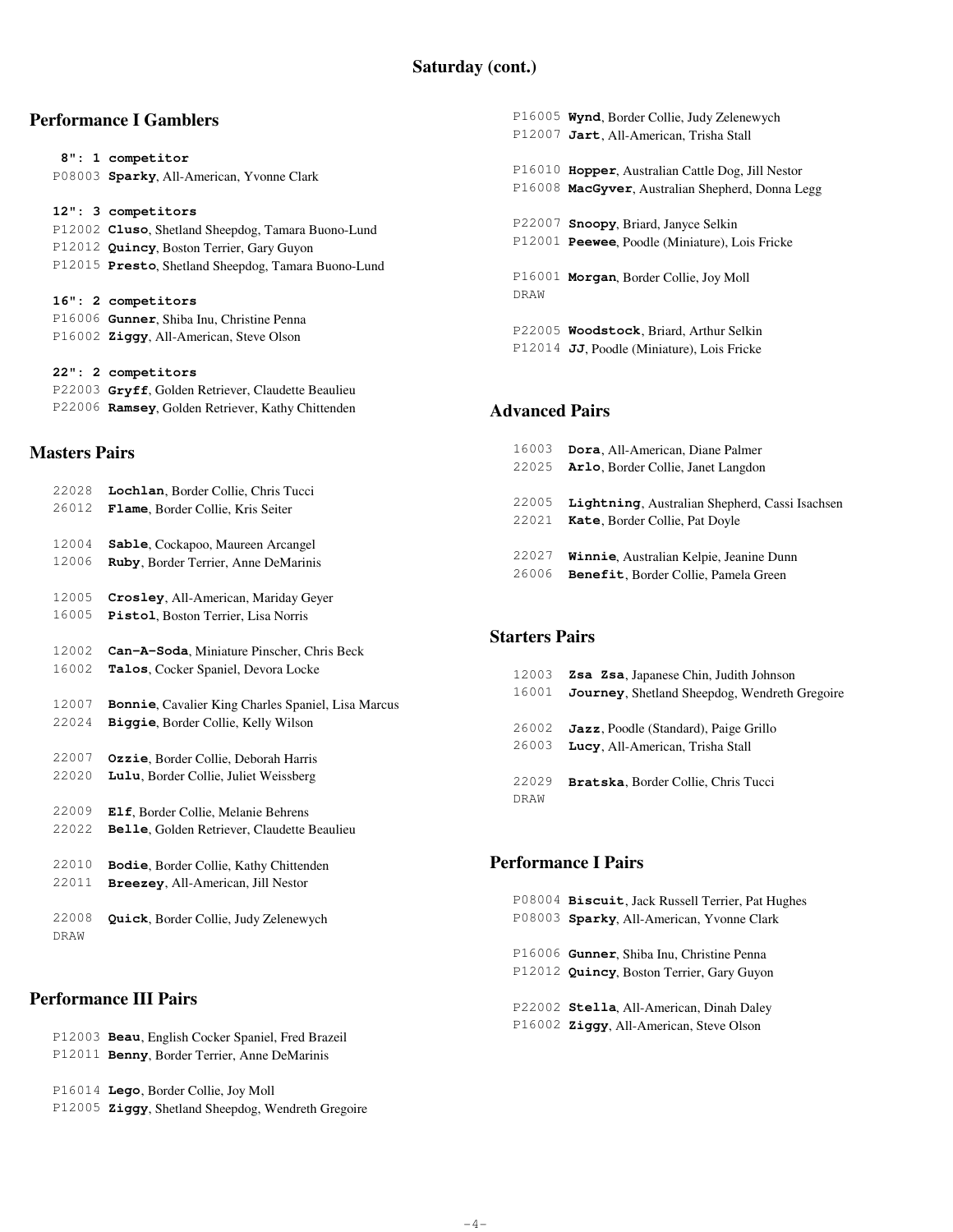## **Performance I Gamblers**

|                      | 8": 1 competitor                                    |
|----------------------|-----------------------------------------------------|
|                      | P08003 Sparky, All-American, Yvonne Clark           |
|                      |                                                     |
|                      | 12": 3 competitors                                  |
|                      | P12002 Cluso, Shetland Sheepdog, Tamara Buono-Lund  |
|                      | P12012 Quincy, Boston Terrier, Gary Guyon           |
|                      | P12015 Presto, Shetland Sheepdog, Tamara Buono-Lund |
|                      |                                                     |
|                      | 16": 2 competitors                                  |
|                      | P16006 Gunner, Shiba Inu, Christine Penna           |
|                      | P16002 Ziggy, All-American, Steve Olson             |
|                      |                                                     |
|                      | 22": 2 competitors                                  |
|                      | P22003 Gryff, Golden Retriever, Claudette Beaulieu  |
|                      | P22006 Ramsey, Golden Retriever, Kathy Chittenden   |
|                      |                                                     |
|                      |                                                     |
| <b>Masters Pairs</b> |                                                     |

# 22028 **Lochlan**, Border Collie, Chris Tucci 26012 **Flame**, Border Collie, Kris Seiter 12004 **Sable**, Cockapoo, Maureen Arcangel 12006 **Ruby**, Border Terrier, Anne DeMarinis 12005 **Crosley**, All-American, Mariday Geyer 16005 **Pistol**, Boston Terrier, Lisa Norris 12002 **Can-A-Soda**, Miniature Pinscher, Chris Beck 16002 **Talos**, Cocker Spaniel, Devora Locke 12007 **Bonnie**, Cavalier King Charles Spaniel, Lisa Marcus 22024 **Biggie**, Border Collie, Kelly Wilson 22007 **Ozzie**, Border Collie, Deborah Harris 22020 **Lulu**, Border Collie, Juliet Weissberg 22009 **Elf**, Border Collie, Melanie Behrens 22022 **Belle**, Golden Retriever, Claudette Beaulieu 22010 **Bodie**, Border Collie, Kathy Chittenden 22011 **Breezey**, All-American, Jill Nestor 22008 **Quick**, Border Collie, Judy Zelenewych DRAW

## **Performance III Pairs**

|  | P12003 Beau, English Cocker Spaniel, Fred Brazeil<br>P12011 Benny, Border Terrier, Anne DeMarinis |
|--|---------------------------------------------------------------------------------------------------|
|  | P16014 Lego, Border Collie, Joy Moll                                                              |
|  | P12005 Ziggy, Shetland Sheepdog, Wendreth Gregoire                                                |

 P16005 **Wynd**, Border Collie, Judy Zelenewych P12007 **Jart**, All-American, Trisha Stall P16010 **Hopper**, Australian Cattle Dog, Jill Nestor P16008 **MacGyver**, Australian Shepherd, Donna Legg P22007 **Snoopy**, Briard, Janyce Selkin P12001 **Peewee**, Poodle (Miniature), Lois Fricke P16001 **Morgan**, Border Collie, Joy Moll DRAW

 P22005 **Woodstock**, Briard, Arthur Selkin P12014 **JJ**, Poodle (Miniature), Lois Fricke

# **Advanced Pairs**

| 16003 | Dora, All-American, Diane Palmer               |
|-------|------------------------------------------------|
| 22025 | Arlo, Border Collie, Janet Langdon             |
|       |                                                |
| 22005 | Lightning, Australian Shepherd, Cassi Isachsen |
| 22021 | Kate, Border Collie, Pat Doyle                 |
|       |                                                |
| 22027 | Winnie, Australian Kelpie, Jeanine Dunn        |
| 26006 | Benefit, Border Collie, Pamela Green           |

## **Starters Pairs**

| 12003 | <b>Zsa Zsa, Japanese Chin, Judith Johnson</b> |
|-------|-----------------------------------------------|
| 16001 | Journey, Shetland Sheepdog, Wendreth Gregoire |
|       |                                               |
| 26002 | <b>Jazz</b> , Poodle (Standard), Paige Grillo |
| 26003 | Lucy, All-American, Trisha Stall              |
|       |                                               |
| 22029 | Bratska, Border Collie, Chris Tucci           |
| DRAW  |                                               |
|       |                                               |

## **Performance I Pairs**

 P08004 **Biscuit**, Jack Russell Terrier, Pat Hughes P08003 **Sparky**, All-American, Yvonne Clark P16006 **Gunner**, Shiba Inu, Christine Penna P12012 **Quincy**, Boston Terrier, Gary Guyon P22002 **Stella**, All-American, Dinah Daley P16002 **Ziggy**, All-American, Steve Olson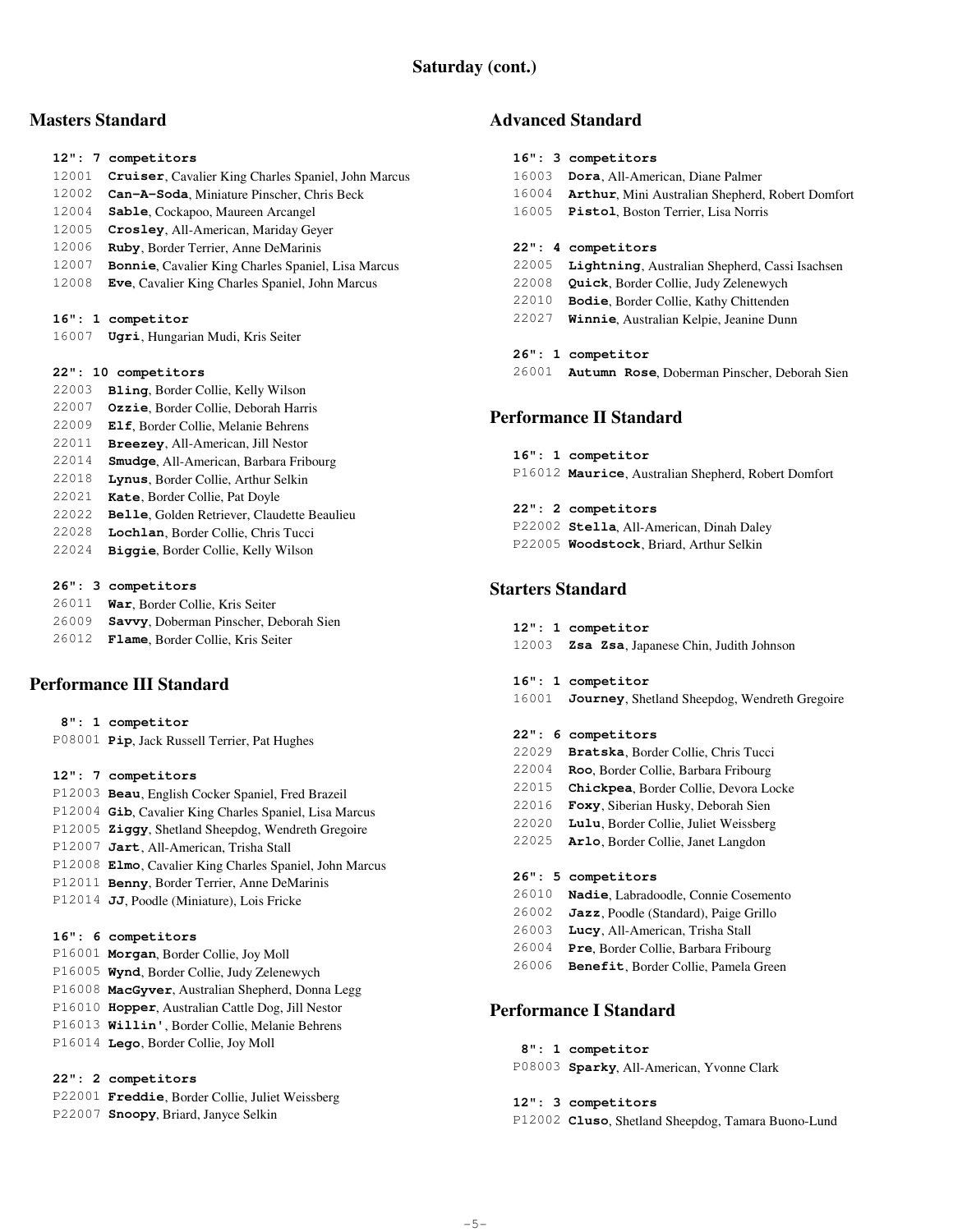## **Masters Standard**

### **12": 7 competitors** 12001 **Cruiser**, Cavalier King Charles Spaniel, John Marcus 12002 **Can-A-Soda**, Miniature Pinscher, Chris Beck

- 12004 **Sable**, Cockapoo, Maureen Arcangel
- 12005 **Crosley**, All-American, Mariday Geyer
- 12006 **Ruby**, Border Terrier, Anne DeMarinis
- 12007 **Bonnie**, Cavalier King Charles Spaniel, Lisa Marcus
- 12008 **Eve**, Cavalier King Charles Spaniel, John Marcus

## **16": 1 competitor**

16007 **Ugri**, Hungarian Mudi, Kris Seiter

## **22": 10 competitors**

- 22003 **Bling**, Border Collie, Kelly Wilson
- 22007 **Ozzie**, Border Collie, Deborah Harris
- 22009 **Elf**, Border Collie, Melanie Behrens
- 22011 **Breezey**, All-American, Jill Nestor
- 22014 **Smudge**, All-American, Barbara Fribourg
- 22018 **Lynus**, Border Collie, Arthur Selkin
- 22021 **Kate**, Border Collie, Pat Doyle
- 22022 **Belle**, Golden Retriever, Claudette Beaulieu
- 22028 **Lochlan**, Border Collie, Chris Tucci
- 22024 **Biggie**, Border Collie, Kelly Wilson

## **26": 3 competitors**

| 26011 | War, Border Collie, Kris Seiter        |
|-------|----------------------------------------|
| 26009 | Savvy, Doberman Pinscher, Deborah Sien |

26012 **Flame**, Border Collie, Kris Seiter

# **Performance III Standard**

- **8": 1 competitor**
- P08001 **Pip**, Jack Russell Terrier, Pat Hughes

## **12": 7 competitors**

 P12003 **Beau**, English Cocker Spaniel, Fred Brazeil P12004 **Gib**, Cavalier King Charles Spaniel, Lisa Marcus P12005 **Ziggy**, Shetland Sheepdog, Wendreth Gregoire P12007 **Jart**, All-American, Trisha Stall P12008 **Elmo**, Cavalier King Charles Spaniel, John Marcus P12011 **Benny**, Border Terrier, Anne DeMarinis P12014 **JJ**, Poodle (Miniature), Lois Fricke

## **16": 6 competitors**

 P16001 **Morgan**, Border Collie, Joy Moll P16005 **Wynd**, Border Collie, Judy Zelenewych P16008 **MacGyver**, Australian Shepherd, Donna Legg P16010 **Hopper**, Australian Cattle Dog, Jill Nestor P16013 **Willin'**, Border Collie, Melanie Behrens P16014 **Lego**, Border Collie, Joy Moll

## **22": 2 competitors**

- P22001 **Freddie**, Border Collie, Juliet Weissberg
- P22007 **Snoopy**, Briard, Janyce Selkin

## **Advanced Standard**

|       | 16": 3 competitors                               |
|-------|--------------------------------------------------|
| 16003 | Dora, All-American, Diane Palmer                 |
| 16004 | Arthur, Mini Australian Shepherd, Robert Domfort |
| 16005 | Pistol, Boston Terrier, Lisa Norris              |
|       |                                                  |
|       | 22": 4 competitors                               |
| 22005 | Lightning, Australian Shepherd, Cassi Isachsen   |
| 22008 | Quick, Border Collie, Judy Zelenewych            |
| 22010 | Bodie, Border Collie, Kathy Chittenden           |
| 22027 | Winnie, Australian Kelpie, Jeanine Dunn          |
|       |                                                  |
|       | 26": 1 competitor                                |
|       |                                                  |

26001 **Autumn Rose**, Doberman Pinscher, Deborah Sien

# **Performance II Standard**

 **16": 1 competitor** P16012 **Maurice**, Australian Shepherd, Robert Domfort

### **22": 2 competitors** P22002 **Stella**, All-American, Dinah Daley P22005 **Woodstock**, Briard, Arthur Selkin

# **Starters Standard**

- **12": 1 competitor**
- 12003 **Zsa Zsa**, Japanese Chin, Judith Johnson

### **16": 1 competitor**

16001 **Journey**, Shetland Sheepdog, Wendreth Gregoire

### **22": 6 competitors**

- 22029 **Bratska**, Border Collie, Chris Tucci
- 22004 **Roo**, Border Collie, Barbara Fribourg
- 22015 **Chickpea**, Border Collie, Devora Locke
- 22016 **Foxy**, Siberian Husky, Deborah Sien
- 22020 **Lulu**, Border Collie, Juliet Weissberg
- 22025 **Arlo**, Border Collie, Janet Langdon

## **26": 5 competitors**

- 26010 **Nadie**, Labradoodle, Connie Cosemento
- 26002 **Jazz**, Poodle (Standard), Paige Grillo
- 26003 **Lucy**, All-American, Trisha Stall
- 26004 **Pre**, Border Collie, Barbara Fribourg
- 26006 **Benefit**, Border Collie, Pamela Green

# **Performance I Standard**

 **8": 1 competitor** P08003 **Sparky**, All-American, Yvonne Clark

 **12": 3 competitors**

P12002 **Cluso**, Shetland Sheepdog, Tamara Buono-Lund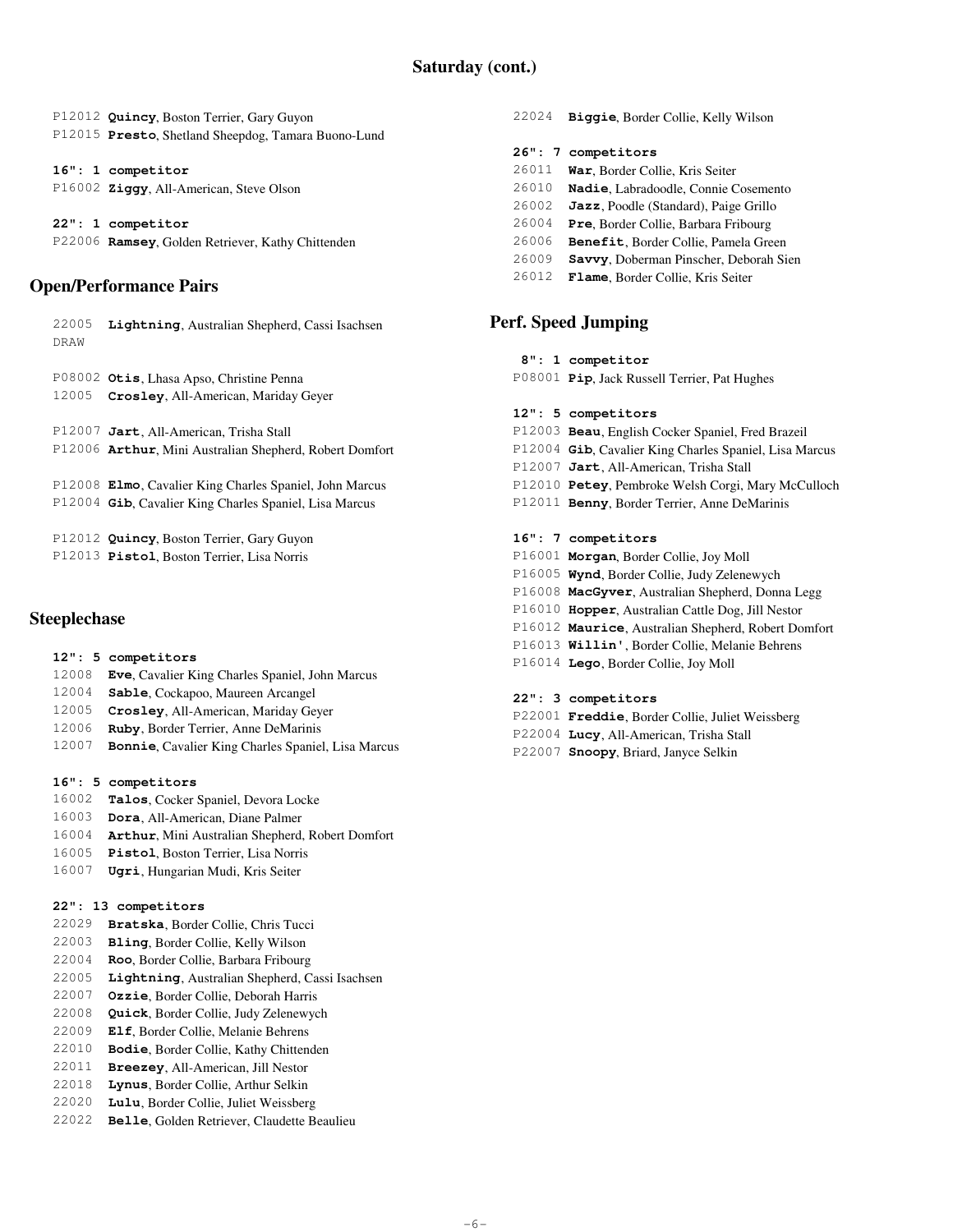P12012 **Quincy**, Boston Terrier, Gary Guyon P12015 **Presto**, Shetland Sheepdog, Tamara Buono-Lund

 **16": 1 competitor** P16002 **Ziggy**, All-American, Steve Olson

 **22": 1 competitor** P22006 **Ramsey**, Golden Retriever, Kathy Chittenden

## **Open/Performance Pairs**

| 22005<br>DRAW | Lightning, Australian Shepherd, Cassi Isachsen                                                                           |
|---------------|--------------------------------------------------------------------------------------------------------------------------|
| 12005         | P08002 Otis, Lhasa Apso, Christine Penna<br>Crosley, All-American, Mariday Geyer                                         |
|               | P12007 Jart, All-American, Trisha Stall<br>P12006 Arthur, Mini Australian Shepherd, Robert Domfort                       |
|               | P12008 Elmo, Cavalier King Charles Spaniel, John Marcus<br>P12004 <b>Gib, Cavalier King Charles Spaniel, Lisa Marcus</b> |
|               | P12012 Quincy, Boston Terrier, Gary Guyon<br>P12013 Pistol, Boston Terrier, Lisa Norris                                  |

## **Steeplechase**

- **12": 5 competitors**
- 12008 **Eve**, Cavalier King Charles Spaniel, John Marcus
- 12004 **Sable**, Cockapoo, Maureen Arcangel
- 12005 **Crosley**, All-American, Mariday Geyer
- 12006 **Ruby**, Border Terrier, Anne DeMarinis
- 12007 **Bonnie**, Cavalier King Charles Spaniel, Lisa Marcus

### **16": 5 competitors**

- 16002 **Talos**, Cocker Spaniel, Devora Locke
- 16003 **Dora**, All-American, Diane Palmer
- 16004 **Arthur**, Mini Australian Shepherd, Robert Domfort
- 16005 **Pistol**, Boston Terrier, Lisa Norris
- 16007 **Ugri**, Hungarian Mudi, Kris Seiter

### **22": 13 competitors**

- 22029 **Bratska**, Border Collie, Chris Tucci
- 22003 **Bling**, Border Collie, Kelly Wilson
- 22004 **Roo**, Border Collie, Barbara Fribourg
- 22005 **Lightning**, Australian Shepherd, Cassi Isachsen
- 22007 **Ozzie**, Border Collie, Deborah Harris
- 22008 **Quick**, Border Collie, Judy Zelenewych
- 22009 **Elf**, Border Collie, Melanie Behrens
- 22010 **Bodie**, Border Collie, Kathy Chittenden
- 22011 **Breezey**, All-American, Jill Nestor
- 22018 **Lynus**, Border Collie, Arthur Selkin
- 22020 **Lulu**, Border Collie, Juliet Weissberg
- 22022 **Belle**, Golden Retriever, Claudette Beaulieu

**Biggie**, Border Collie, Kelly Wilson  **26": 7 competitors War**, Border Collie, Kris Seiter **Nadie**, Labradoodle, Connie Cosemento **Jazz**, Poodle (Standard), Paige Grillo **Pre**, Border Collie, Barbara Fribourg **Benefit**, Border Collie, Pamela Green **Savvy**, Doberman Pinscher, Deborah Sien **Flame**, Border Collie, Kris Seiter

## **Perf. Speed Jumping**

### **8": 1 competitor**

P08001 **Pip**, Jack Russell Terrier, Pat Hughes

### **12": 5 competitors**

- P12003 **Beau**, English Cocker Spaniel, Fred Brazeil
- P12004 **Gib**, Cavalier King Charles Spaniel, Lisa Marcus
- P12007 **Jart**, All-American, Trisha Stall
- P12010 **Petey**, Pembroke Welsh Corgi, Mary McCulloch
- P12011 **Benny**, Border Terrier, Anne DeMarinis

### **16": 7 competitors**

- P16001 **Morgan**, Border Collie, Joy Moll
- P16005 **Wynd**, Border Collie, Judy Zelenewych
- P16008 **MacGyver**, Australian Shepherd, Donna Legg
- P16010 **Hopper**, Australian Cattle Dog, Jill Nestor
- P16012 **Maurice**, Australian Shepherd, Robert Domfort
- P16013 **Willin'**, Border Collie, Melanie Behrens
- P16014 **Lego**, Border Collie, Joy Moll

## **22": 3 competitors**

- P22001 **Freddie**, Border Collie, Juliet Weissberg
- P22004 **Lucy**, All-American, Trisha Stall
- P22007 **Snoopy**, Briard, Janyce Selkin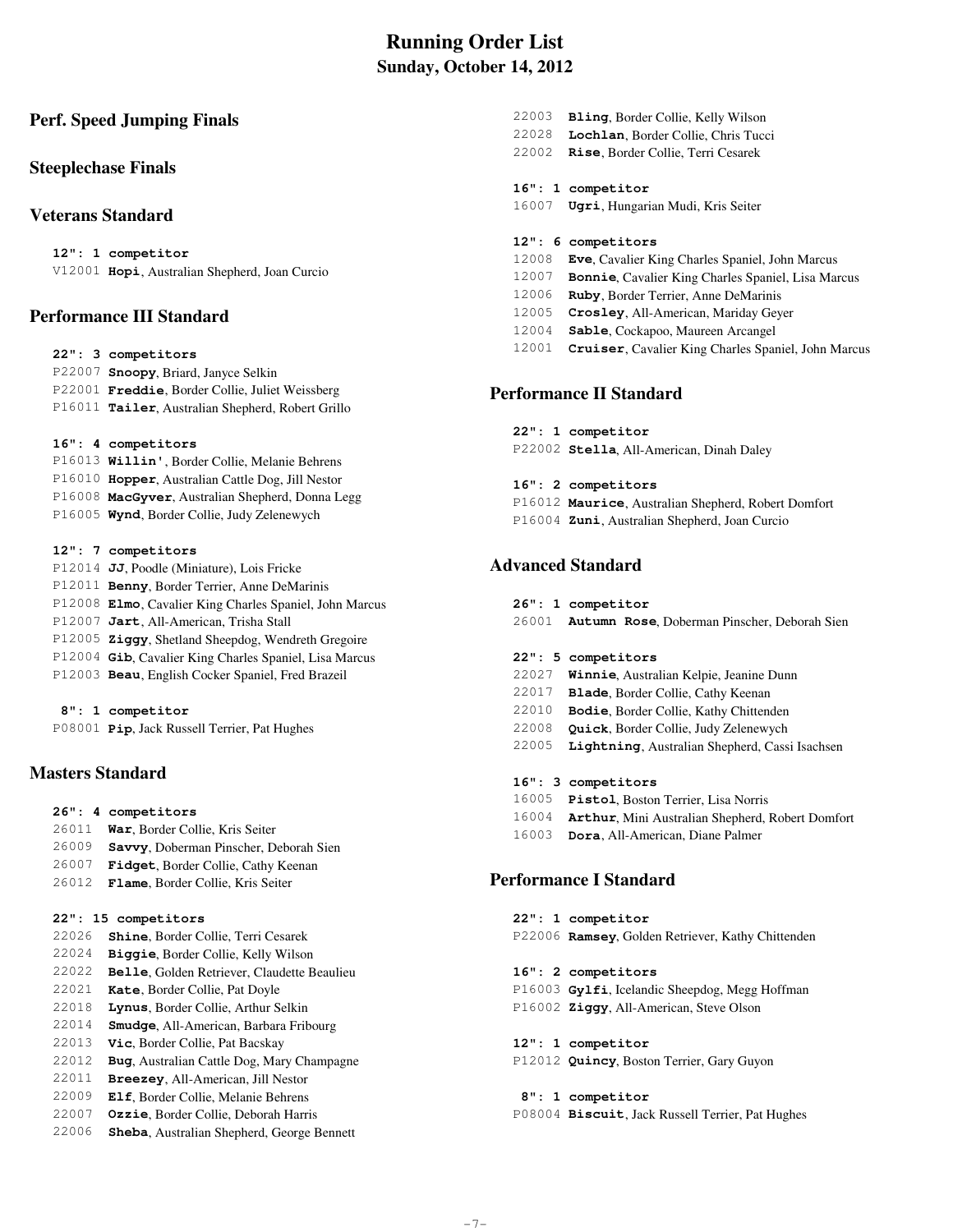# **Running Order List Sunday, October 14, 2012**

## **Perf. Speed Jumping Finals**

## **Steeplechase Finals**

## **Veterans Standard**

 **12": 1 competitor** V12001 **Hopi**, Australian Shepherd, Joan Curcio

## **Performance III Standard**

|  | 22": 3 competitors                                |
|--|---------------------------------------------------|
|  | P22007 Snoopy, Briard, Janyce Selkin              |
|  | P22001 Freddie, Border Collie, Juliet Weissberg   |
|  | P16011 Tailer, Australian Shepherd, Robert Grillo |
|  |                                                   |

- **16": 4 competitors**
- P16013 **Willin'**, Border Collie, Melanie Behrens P16010 **Hopper**, Australian Cattle Dog, Jill Nestor P16008 **MacGyver**, Australian Shepherd, Donna Legg P16005 **Wynd**, Border Collie, Judy Zelenewych
- **12": 7 competitors**
- P12014 **JJ**, Poodle (Miniature), Lois Fricke P12011 **Benny**, Border Terrier, Anne DeMarinis P12008 **Elmo**, Cavalier King Charles Spaniel, John Marcus P12007 **Jart**, All-American, Trisha Stall P12005 **Ziggy**, Shetland Sheepdog, Wendreth Gregoire P12004 **Gib**, Cavalier King Charles Spaniel, Lisa Marcus P12003 **Beau**, English Cocker Spaniel, Fred Brazeil

### **8": 1 competitor** P08001 **Pip**, Jack Russell Terrier, Pat Hughes

## **Masters Standard**

- **26": 4 competitors**
- 26011 **War**, Border Collie, Kris Seiter
- 26009 **Savvy**, Doberman Pinscher, Deborah Sien
- 26007 **Fidget**, Border Collie, Cathy Keenan
- 26012 **Flame**, Border Collie, Kris Seiter

## **22": 15 competitors**

- 22026 **Shine**, Border Collie, Terri Cesarek 22024 **Biggie**, Border Collie, Kelly Wilson
- 22022 **Belle**, Golden Retriever, Claudette Beaulieu
- 22021 **Kate**, Border Collie, Pat Doyle
- 22018 **Lynus**, Border Collie, Arthur Selkin
- 22014 **Smudge**, All-American, Barbara Fribourg 22013 **Vic**, Border Collie, Pat Bacskay
- 22012 **Bug**, Australian Cattle Dog, Mary Champagne
- 22011 **Breezey**, All-American, Jill Nestor
- 22009 **Elf**, Border Collie, Melanie Behrens
- 22007 **Ozzie**, Border Collie, Deborah Harris
- 22006 **Sheba**, Australian Shepherd, George Bennett
- 22003 **Bling**, Border Collie, Kelly Wilson
- 22028 **Lochlan**, Border Collie, Chris Tucci
- 22002 **Rise**, Border Collie, Terri Cesarek

### **16": 1 competitor**

16007 **Ugri**, Hungarian Mudi, Kris Seiter

### **12": 6 competitors**

- 12008 **Eve**, Cavalier King Charles Spaniel, John Marcus
- 12007 **Bonnie**, Cavalier King Charles Spaniel, Lisa Marcus
- 12006 **Ruby**, Border Terrier, Anne DeMarinis
- 12005 **Crosley**, All-American, Mariday Geyer
- 12004 **Sable**, Cockapoo, Maureen Arcangel
- 12001 **Cruiser**, Cavalier King Charles Spaniel, John Marcus

## **Performance II Standard**

 **22": 1 competitor** P22002 **Stella**, All-American, Dinah Daley

### **16": 2 competitors**

 P16012 **Maurice**, Australian Shepherd, Robert Domfort P16004 **Zuni**, Australian Shepherd, Joan Curcio

# **Advanced Standard**

- **26": 1 competitor**
- 26001 **Autumn Rose**, Doberman Pinscher, Deborah Sien
- **22": 5 competitors**
- 22027 **Winnie**, Australian Kelpie, Jeanine Dunn
- 22017 **Blade**, Border Collie, Cathy Keenan
- 22010 **Bodie**, Border Collie, Kathy Chittenden
- 22008 **Quick**, Border Collie, Judy Zelenewych
- 22005 **Lightning**, Australian Shepherd, Cassi Isachsen
- **16": 3 competitors**
- 16005 **Pistol**, Boston Terrier, Lisa Norris
- 16004 **Arthur**, Mini Australian Shepherd, Robert Domfort
- 16003 **Dora**, All-American, Diane Palmer

## **Performance I Standard**

 **22": 1 competitor** P22006 **Ramsey**, Golden Retriever, Kathy Chittenden

 **16": 2 competitors**

 P16003 **Gylfi**, Icelandic Sheepdog, Megg Hoffman P16002 **Ziggy**, All-American, Steve Olson

 **12": 1 competitor**

P12012 **Quincy**, Boston Terrier, Gary Guyon

# **8": 1 competitor**

P08004 **Biscuit**, Jack Russell Terrier, Pat Hughes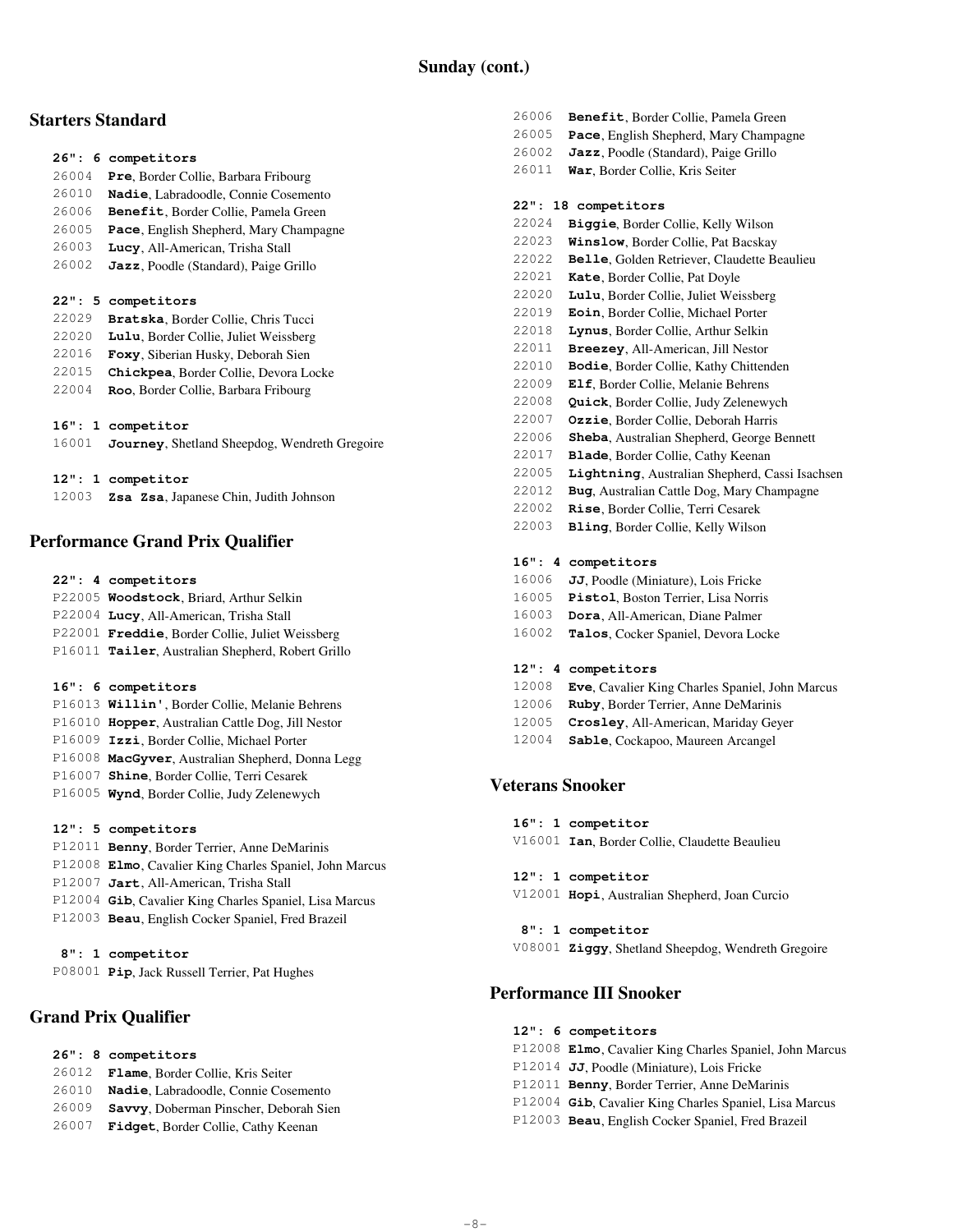# **Starters Standard**

### **26": 6 competitors**

- 26004 **Pre**, Border Collie, Barbara Fribourg
- 26010 **Nadie**, Labradoodle, Connie Cosemento
- 26006 **Benefit**, Border Collie, Pamela Green
- 26005 **Pace**, English Shepherd, Mary Champagne
- 26003 **Lucy**, All-American, Trisha Stall
- 26002 **Jazz**, Poodle (Standard), Paige Grillo

### **22": 5 competitors**

**Bratska**, Border Collie, Chris Tucci **Lulu**, Border Collie, Juliet Weissberg **Foxy**, Siberian Husky, Deborah Sien **Chickpea**, Border Collie, Devora Locke **Roo**, Border Collie, Barbara Fribourg

### **16": 1 competitor**

| 16001 Journey, Shetland Sheepdog, Wendreth Gregoire |
|-----------------------------------------------------|
|                                                     |

### **12": 1 competitor**

12003 **Zsa Zsa**, Japanese Chin, Judith Johnson

# **Performance Grand Prix Qualifier**

### **22": 4 competitors**

|  | P22005 Woodstock, Briard, Arthur Selkin           |
|--|---------------------------------------------------|
|  | P22004 Lucy, All-American, Trisha Stall           |
|  | P22001 Freddie, Border Collie, Juliet Weissberg   |
|  | P16011 Tailer, Australian Shepherd, Robert Grillo |

### **16": 6 competitors**

 P16013 **Willin'**, Border Collie, Melanie Behrens P16010 **Hopper**, Australian Cattle Dog, Jill Nestor P16009 **Izzi**, Border Collie, Michael Porter P16008 **MacGyver**, Australian Shepherd, Donna Legg P16007 **Shine**, Border Collie, Terri Cesarek P16005 **Wynd**, Border Collie, Judy Zelenewych

### **12": 5 competitors**

 P12011 **Benny**, Border Terrier, Anne DeMarinis P12008 **Elmo**, Cavalier King Charles Spaniel, John Marcus P12007 **Jart**, All-American, Trisha Stall P12004 **Gib**, Cavalier King Charles Spaniel, Lisa Marcus P12003 **Beau**, English Cocker Spaniel, Fred Brazeil

## **8": 1 competitor**

P08001 **Pip**, Jack Russell Terrier, Pat Hughes

# **Grand Prix Qualifier**

- **26": 8 competitors**
- 26012 **Flame**, Border Collie, Kris Seiter
- 26010 **Nadie**, Labradoodle, Connie Cosemento
- 26009 **Savvy**, Doberman Pinscher, Deborah Sien
- 26007 **Fidget**, Border Collie, Cathy Keenan
- 26006 **Benefit**, Border Collie, Pamela Green
- 26005 **Pace**, English Shepherd, Mary Champagne
- 26002 **Jazz**, Poodle (Standard), Paige Grillo
- 26011 **War**, Border Collie, Kris Seiter

## **22": 18 competitors**

- 22024 **Biggie**, Border Collie, Kelly Wilson
- 22023 **Winslow**, Border Collie, Pat Bacskay
- 22022 **Belle**, Golden Retriever, Claudette Beaulieu
- 22021 **Kate**, Border Collie, Pat Doyle
- 22020 **Lulu**, Border Collie, Juliet Weissberg
- 22019 **Eoin**, Border Collie, Michael Porter
- 22018 **Lynus**, Border Collie, Arthur Selkin
- 22011 **Breezey**, All-American, Jill Nestor
- 22010 **Bodie**, Border Collie, Kathy Chittenden
- 22009 **Elf**, Border Collie, Melanie Behrens
- 22008 **Quick**, Border Collie, Judy Zelenewych
- 22007 **Ozzie**, Border Collie, Deborah Harris
- 22006 **Sheba**, Australian Shepherd, George Bennett
- 22017 **Blade**, Border Collie, Cathy Keenan
- 22005 **Lightning**, Australian Shepherd, Cassi Isachsen
- 22012 **Bug**, Australian Cattle Dog, Mary Champagne
- 22002 **Rise**, Border Collie, Terri Cesarek 22003 **Bling**, Border Collie, Kelly Wilson

# **16": 4 competitors**

- 16006 **JJ**, Poodle (Miniature), Lois Fricke
- 16005 **Pistol**, Boston Terrier, Lisa Norris
- 16003 **Dora**, All-American, Diane Palmer
- 16002 **Talos**, Cocker Spaniel, Devora Locke

### **12": 4 competitors**

- 12008 **Eve**, Cavalier King Charles Spaniel, John Marcus
- 12006 **Ruby**, Border Terrier, Anne DeMarinis
- 12005 **Crosley**, All-American, Mariday Geyer
- 12004 **Sable**, Cockapoo, Maureen Arcangel

## **Veterans Snooker**

- **16": 1 competitor**
- V16001 **Ian**, Border Collie, Claudette Beaulieu

### **12": 1 competitor**

- V12001 **Hopi**, Australian Shepherd, Joan Curcio
- **8": 1 competitor** V08001 **Ziggy**, Shetland Sheepdog, Wendreth Gregoire

# **Performance III Snooker**

## **12": 6 competitors**

- P12008 **Elmo**, Cavalier King Charles Spaniel, John Marcus
- P12014 **JJ**, Poodle (Miniature), Lois Fricke
- P12011 **Benny**, Border Terrier, Anne DeMarinis
- P12004 **Gib**, Cavalier King Charles Spaniel, Lisa Marcus
- P12003 **Beau**, English Cocker Spaniel, Fred Brazeil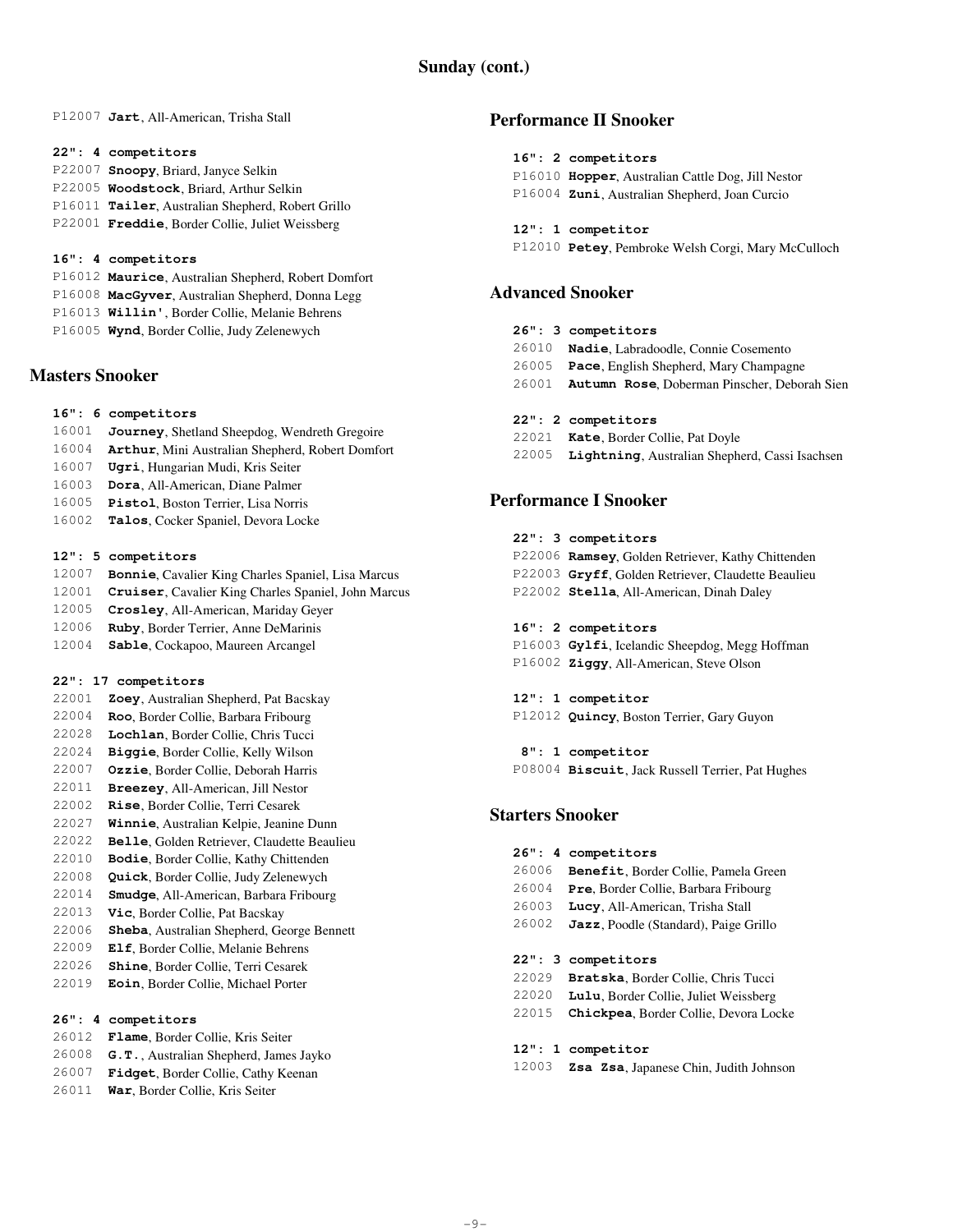P12007 **Jart**, All-American, Trisha Stall

#### **22": 4 competitors**

 P22007 **Snoopy**, Briard, Janyce Selkin P22005 **Woodstock**, Briard, Arthur Selkin P16011 **Tailer**, Australian Shepherd, Robert Grillo P22001 **Freddie**, Border Collie, Juliet Weissberg

### **16": 4 competitors**

- P16012 **Maurice**, Australian Shepherd, Robert Domfort P16008 **MacGyver**, Australian Shepherd, Donna Legg
- P16013 **Willin'**, Border Collie, Melanie Behrens
- P16005 **Wynd**, Border Collie, Judy Zelenewych

## **Masters Snooker**

- **16": 6 competitors**
- 16001 **Journey**, Shetland Sheepdog, Wendreth Gregoire
- 16004 **Arthur**, Mini Australian Shepherd, Robert Domfort
- 16007 **Ugri**, Hungarian Mudi, Kris Seiter
- 16003 **Dora**, All-American, Diane Palmer
- 16005 **Pistol**, Boston Terrier, Lisa Norris
- 16002 **Talos**, Cocker Spaniel, Devora Locke

### **12": 5 competitors**

- 12007 **Bonnie**, Cavalier King Charles Spaniel, Lisa Marcus
- 12001 **Cruiser**, Cavalier King Charles Spaniel, John Marcus
- 12005 **Crosley**, All-American, Mariday Geyer
- 12006 **Ruby**, Border Terrier, Anne DeMarinis
- 12004 **Sable**, Cockapoo, Maureen Arcangel

### **22": 17 competitors**

- 22001 **Zoey**, Australian Shepherd, Pat Bacskay
- 22004 **Roo**, Border Collie, Barbara Fribourg
- 22028 **Lochlan**, Border Collie, Chris Tucci
- 22024 **Biggie**, Border Collie, Kelly Wilson
- 22007 **Ozzie**, Border Collie, Deborah Harris
- 22011 **Breezey**, All-American, Jill Nestor
- 22002 **Rise**, Border Collie, Terri Cesarek
- 22027 **Winnie**, Australian Kelpie, Jeanine Dunn
- 22022 **Belle**, Golden Retriever, Claudette Beaulieu
- 22010 **Bodie**, Border Collie, Kathy Chittenden
- 22008 **Quick**, Border Collie, Judy Zelenewych
- 22014 **Smudge**, All-American, Barbara Fribourg
- 22013 **Vic**, Border Collie, Pat Bacskay
- 22006 **Sheba**, Australian Shepherd, George Bennett
- 22009 **Elf**, Border Collie, Melanie Behrens
- 22026 **Shine**, Border Collie, Terri Cesarek
- 22019 **Eoin**, Border Collie, Michael Porter

### **26": 4 competitors**

- 26012 **Flame**, Border Collie, Kris Seiter
- 26008 **G.T.**, Australian Shepherd, James Jayko
- 26007 **Fidget**, Border Collie, Cathy Keenan
- 26011 **War**, Border Collie, Kris Seiter

# **Performance II Snooker**

# **16": 2 competitors**

- P16010 **Hopper**, Australian Cattle Dog, Jill Nestor
- P16004 **Zuni**, Australian Shepherd, Joan Curcio
- **12": 1 competitor**
- P12010 **Petey**, Pembroke Welsh Corgi, Mary McCulloch

## **Advanced Snooker**

- **26": 3 competitors**
- 26010 **Nadie**, Labradoodle, Connie Cosemento
- 26005 **Pace**, English Shepherd, Mary Champagne
- 26001 **Autumn Rose**, Doberman Pinscher, Deborah Sien
- **22": 2 competitors**
- 22021 **Kate**, Border Collie, Pat Doyle
- 22005 **Lightning**, Australian Shepherd, Cassi Isachsen

## **Performance I Snooker**

### **22": 3 competitors**

 P22006 **Ramsey**, Golden Retriever, Kathy Chittenden P22003 **Gryff**, Golden Retriever, Claudette Beaulieu P22002 **Stella**, All-American, Dinah Daley

### **16": 2 competitors**

- P16003 **Gylfi**, Icelandic Sheepdog, Megg Hoffman
- P16002 **Ziggy**, All-American, Steve Olson

# **12": 1 competitor**

P12012 **Quincy**, Boston Terrier, Gary Guyon

 **8": 1 competitor** P08004 **Biscuit**, Jack Russell Terrier, Pat Hughes

## **Starters Snooker**

- **26": 4 competitors**
- 26006 **Benefit**, Border Collie, Pamela Green
- 26004 **Pre**, Border Collie, Barbara Fribourg
- 26003 **Lucy**, All-American, Trisha Stall
- 26002 **Jazz**, Poodle (Standard), Paige Grillo

### **22": 3 competitors**

- 22029 **Bratska**, Border Collie, Chris Tucci
- 22020 **Lulu**, Border Collie, Juliet Weissberg
- 22015 **Chickpea**, Border Collie, Devora Locke

### **12": 1 competitor**

12003 **Zsa Zsa**, Japanese Chin, Judith Johnson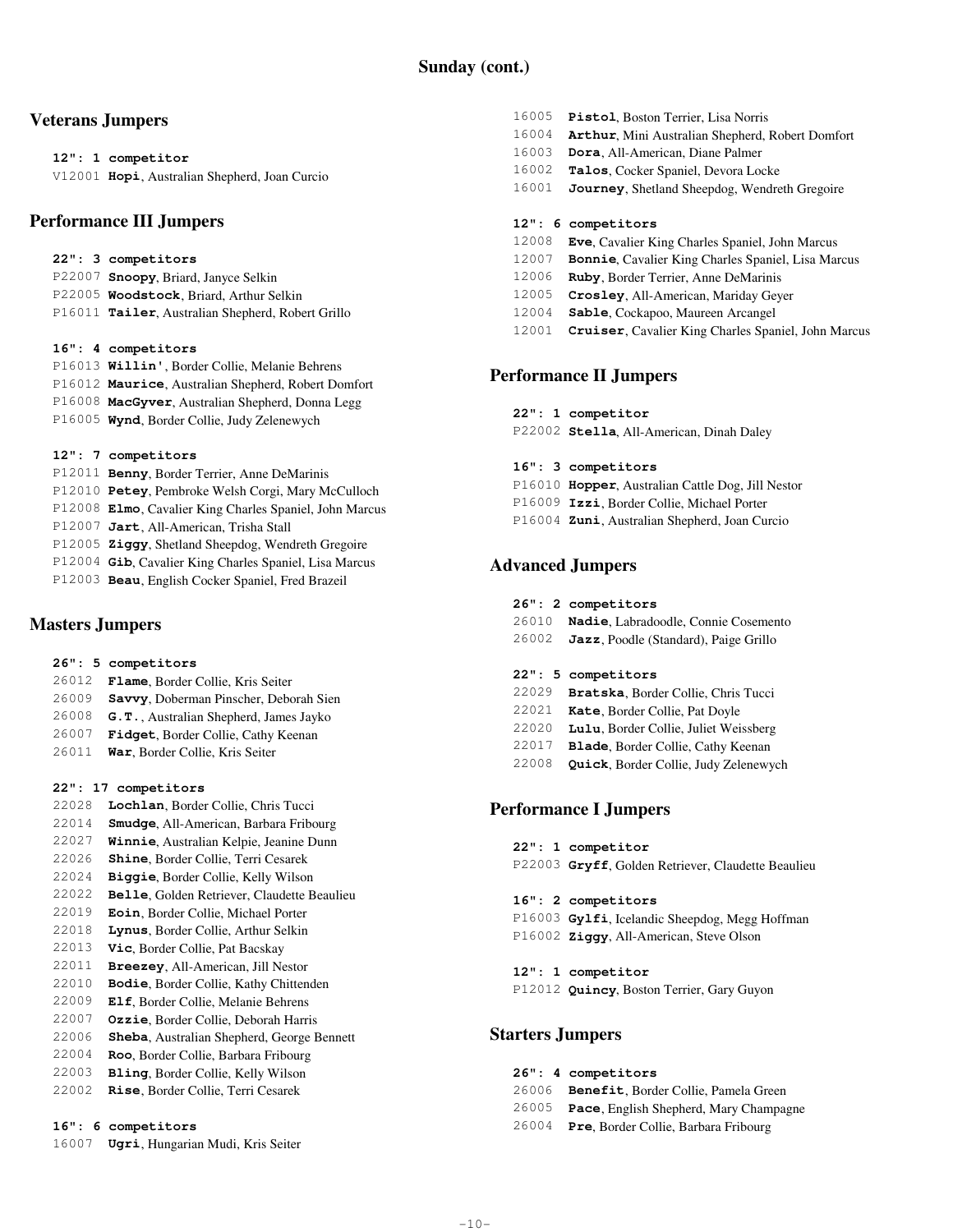# **Veterans Jumpers**

### **12": 1 competitor**

V12001 **Hopi**, Australian Shepherd, Joan Curcio

# **Performance III Jumpers**

## **22": 3 competitors**

| P22007 Snoopy, Briard, Janyce Selkin              |
|---------------------------------------------------|
| P22005 Woodstock, Briard, Arthur Selkin           |
| P16011 Tailer, Australian Shepherd, Robert Grillo |

## **16": 4 competitors**

|  | P16013 Willin', Border Collie, Melanie Behrens      |
|--|-----------------------------------------------------|
|  | P16012 Maurice, Australian Shepherd, Robert Domfort |
|  | P16008 MacGyver, Australian Shepherd, Donna Legg    |
|  | P16005 Wynd, Border Collie, Judy Zelenewych         |
|  |                                                     |

## **12": 7 competitors**

- P12011 **Benny**, Border Terrier, Anne DeMarinis P12010 **Petey**, Pembroke Welsh Corgi, Mary McCulloch P12008 **Elmo**, Cavalier King Charles Spaniel, John Marcus P12007 **Jart**, All-American, Trisha Stall P12005 **Ziggy**, Shetland Sheepdog, Wendreth Gregoire P12004 **Gib**, Cavalier King Charles Spaniel, Lisa Marcus
- P12003 **Beau**, English Cocker Spaniel, Fred Brazeil

# **Masters Jumpers**

## **26": 5 competitors**

- 26012 **Flame**, Border Collie, Kris Seiter
- 26009 **Savvy**, Doberman Pinscher, Deborah Sien
- 26008 **G.T.**, Australian Shepherd, James Jayko
- 26007 **Fidget**, Border Collie, Cathy Keenan
- 26011 **War**, Border Collie, Kris Seiter

## **22": 17 competitors**

- 22028 **Lochlan**, Border Collie, Chris Tucci
- 22014 **Smudge**, All-American, Barbara Fribourg
- 22027 **Winnie**, Australian Kelpie, Jeanine Dunn
- 22026 **Shine**, Border Collie, Terri Cesarek
- 22024 **Biggie**, Border Collie, Kelly Wilson
- 22022 **Belle**, Golden Retriever, Claudette Beaulieu
- 22019 **Eoin**, Border Collie, Michael Porter
- 22018 **Lynus**, Border Collie, Arthur Selkin 22013 **Vic**, Border Collie, Pat Bacskay
- 22011 **Breezey**, All-American, Jill Nestor
- 22010 **Bodie**, Border Collie, Kathy Chittenden
- 22009 **Elf**, Border Collie, Melanie Behrens
- 22007 **Ozzie**, Border Collie, Deborah Harris
- 22006 **Sheba**, Australian Shepherd, George Bennett
- 22004 **Roo**, Border Collie, Barbara Fribourg
- 22003 **Bling**, Border Collie, Kelly Wilson
- 22002 **Rise**, Border Collie, Terri Cesarek

### **16": 6 competitors**

16007 **Ugri**, Hungarian Mudi, Kris Seiter

- 16005 **Pistol**, Boston Terrier, Lisa Norris
- 16004 **Arthur**, Mini Australian Shepherd, Robert Domfort
- 16003 **Dora**, All-American, Diane Palmer
- 16002 **Talos**, Cocker Spaniel, Devora Locke
- 16001 **Journey**, Shetland Sheepdog, Wendreth Gregoire

### **12": 6 competitors**

- 12008 **Eve**, Cavalier King Charles Spaniel, John Marcus
- 12007 **Bonnie**, Cavalier King Charles Spaniel, Lisa Marcus
- 12006 **Ruby**, Border Terrier, Anne DeMarinis
- 12005 **Crosley**, All-American, Mariday Geyer
- 12004 **Sable**, Cockapoo, Maureen Arcangel
- 12001 **Cruiser**, Cavalier King Charles Spaniel, John Marcus

## **Performance II Jumpers**

 **22": 1 competitor**

P22002 **Stella**, All-American, Dinah Daley

### **16": 3 competitors**

- P16010 **Hopper**, Australian Cattle Dog, Jill Nestor
- P16009 **Izzi**, Border Collie, Michael Porter
- P16004 **Zuni**, Australian Shepherd, Joan Curcio

# **Advanced Jumpers**

|  |  | 26": 2 competitors |
|--|--|--------------------|
|--|--|--------------------|

- 26010 **Nadie**, Labradoodle, Connie Cosemento
- 26002 **Jazz**, Poodle (Standard), Paige Grillo

## **22": 5 competitors**

- 22029 **Bratska**, Border Collie, Chris Tucci
- 22021 **Kate**, Border Collie, Pat Doyle
- 22020 **Lulu**, Border Collie, Juliet Weissberg
- 22017 **Blade**, Border Collie, Cathy Keenan
- 22008 **Quick**, Border Collie, Judy Zelenewych

# **Performance I Jumpers**

### **22": 1 competitor**

P22003 **Gryff**, Golden Retriever, Claudette Beaulieu

### **16": 2 competitors**

- P16003 **Gylfi**, Icelandic Sheepdog, Megg Hoffman P16002 **Ziggy**, All-American, Steve Olson
- **12": 1 competitor** P12012 **Quincy**, Boston Terrier, Gary Guyon

## **Starters Jumpers**

- **26": 4 competitors**
- 26006 **Benefit**, Border Collie, Pamela Green 26005 **Pace**, English Shepherd, Mary Champagne
- 
- 26004 **Pre**, Border Collie, Barbara Fribourg